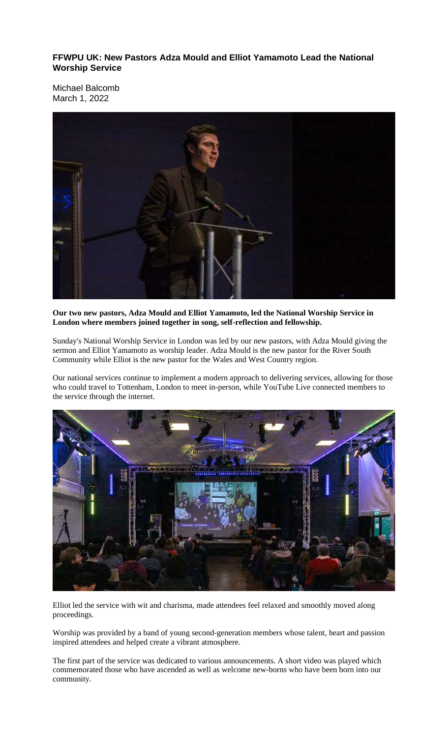**FFWPU UK: New Pastors Adza Mould and Elliot Yamamoto Lead the National Worship Service**

Michael Balcomb March 1, 2022



#### **Our two new pastors, Adza Mould and Elliot Yamamoto, led the National Worship Service in London where members joined together in song, self-reflection and fellowship.**

Sunday's National Worship Service in London was led by our new pastors, with Adza Mould giving the sermon and Elliot Yamamoto as worship leader. Adza Mould is the new pastor for the River South Community while Elliot is the new pastor for the Wales and West Country region.

Our national services continue to implement a modern approach to delivering services, allowing for those who could travel to Tottenham, London to meet in-person, while YouTube Live connected members to the service through the internet.



Elliot led the service with wit and charisma, made attendees feel relaxed and smoothly moved along proceedings.

Worship was provided by a band of young second-generation members whose talent, heart and passion inspired attendees and helped create a vibrant atmosphere.

The first part of the service was dedicated to various announcements. A short video was played which commemorated those who have ascended as well as welcome new-borns who have been born into our community.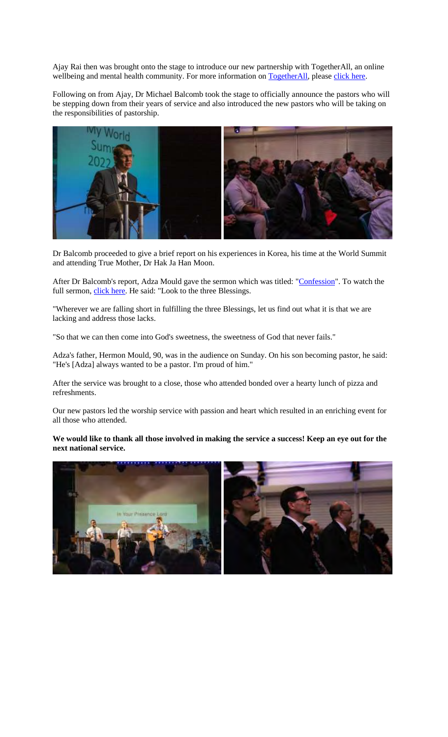Ajay Rai then was brought onto the stage to introduce our new partnership with TogetherAll, an online wellbeing and mental health community. For more information on TogetherAll, please click here.

Following on from Ajay, Dr Michael Balcomb took the stage to officially announce the pastors who will be stepping down from their years of service and also introduced the new pastors who will be taking on the responsibilities of pastorship.



Dr Balcomb proceeded to give a brief report on his experiences in Korea, his time at the World Summit and attending True Mother, Dr Hak Ja Han Moon.

After Dr Balcomb's report, Adza Mould gave the sermon which was titled: "Confession". To watch the full sermon, *click here*. He said: "Look to the three Blessings.

"Wherever we are falling short in fulfilling the three Blessings, let us find out what it is that we are lacking and address those lacks.

"So that we can then come into God's sweetness, the sweetness of God that never fails."

Adza's father, Hermon Mould, 90, was in the audience on Sunday. On his son becoming pastor, he said: "He's [Adza] always wanted to be a pastor. I'm proud of him."

After the service was brought to a close, those who attended bonded over a hearty lunch of pizza and refreshments.

Our new pastors led the worship service with passion and heart which resulted in an enriching event for all those who attended.

We would like to thank all those involved in making the service a success! Keep an eye out for the **next national service.**

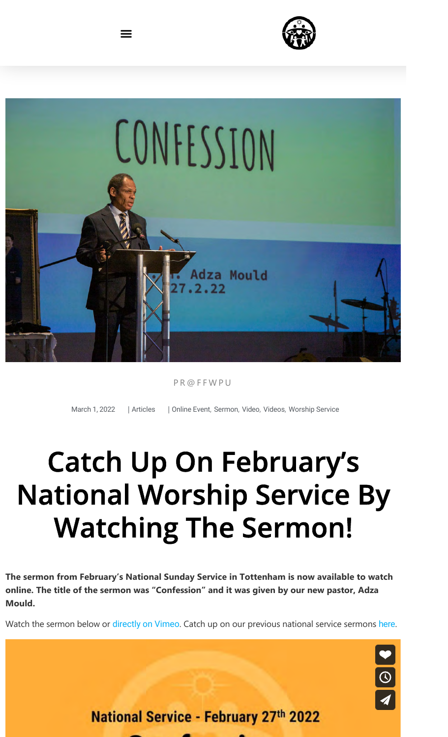



PR@FFWPU

 $\equiv$ 

March 1, 2022 | Articles | Online Event, Sermon, Video, Videos, Worship Service

# Catch Up On February's National Worship Service By Watching The Sermon!

**The sermon from February's National Sunday Service in Tottenham is now available to watch online. The title of the sermon was "Confession" and it was given by our new pastor, Adza Mould.**

Watch the sermon below or directly on Vimeo. Catch up on our previous national service sermons here.



**National Service - February 27th 2022**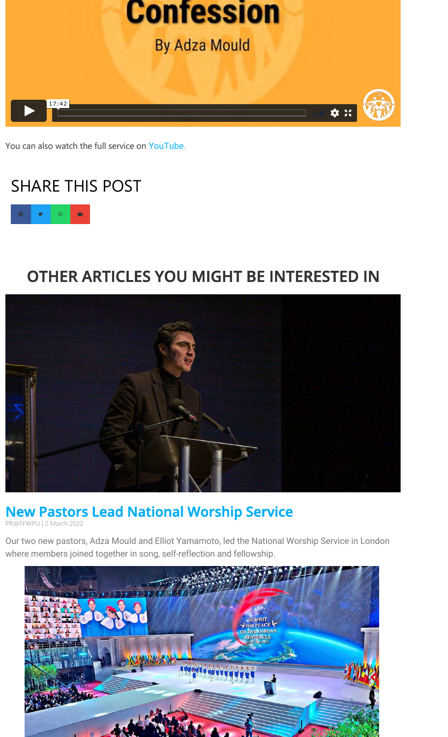

You can also watch the full service on YouTube.

# SHARE THIS POST



## OTHER ARTICLES YOU MIGHT BE INTERESTED IN



### New Pastors Lead National Worship Service

PR@FFWPU | 2 March 2022

Our two new pastors, Adza Mould and Elliot Yamamoto, led the National Worship Service in London where members joined together in song, self-reflection and fellowship.

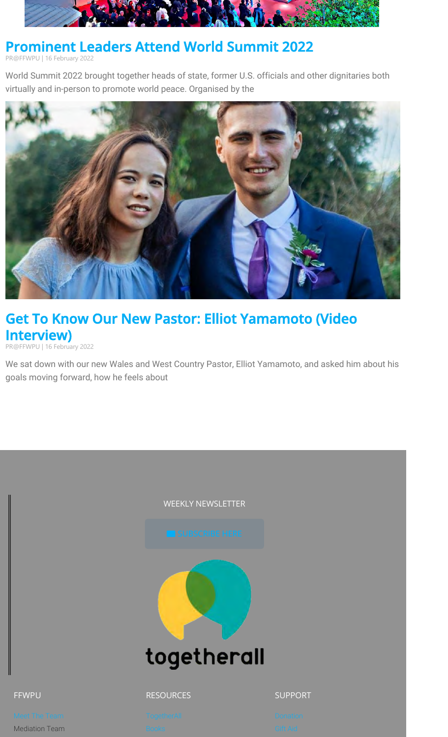

#### Prominent Leaders Attend World Summit 2022

PR@FFWPU | 16 February 2022

World Summit 2022 brought together heads of state, former U.S. officials and other dignitaries both virtually and in-person to promote world peace. Organised by the



#### Get To Know Our New Pastor: Elliot Yamamoto (Video Interview)

PR@FFWPU | 16 February 2022

 $FF$ 

Media

We sat down with our new Wales and West Country Pastor, Elliot Yamamoto, and asked him about his goals moving forward, how he feels about

|                             | WEEKLY NEWSLETTER           |                      |
|-----------------------------|-----------------------------|----------------------|
|                             | SUBSCRIBE HERE              |                      |
|                             | togetherall                 |                      |
|                             |                             |                      |
| VPU                         | <b>RESOURCES</b>            | <b>SUPPORT</b>       |
| et The Team<br>diation Team | TogetherAll<br><b>Books</b> | Donation<br>Gift Aid |